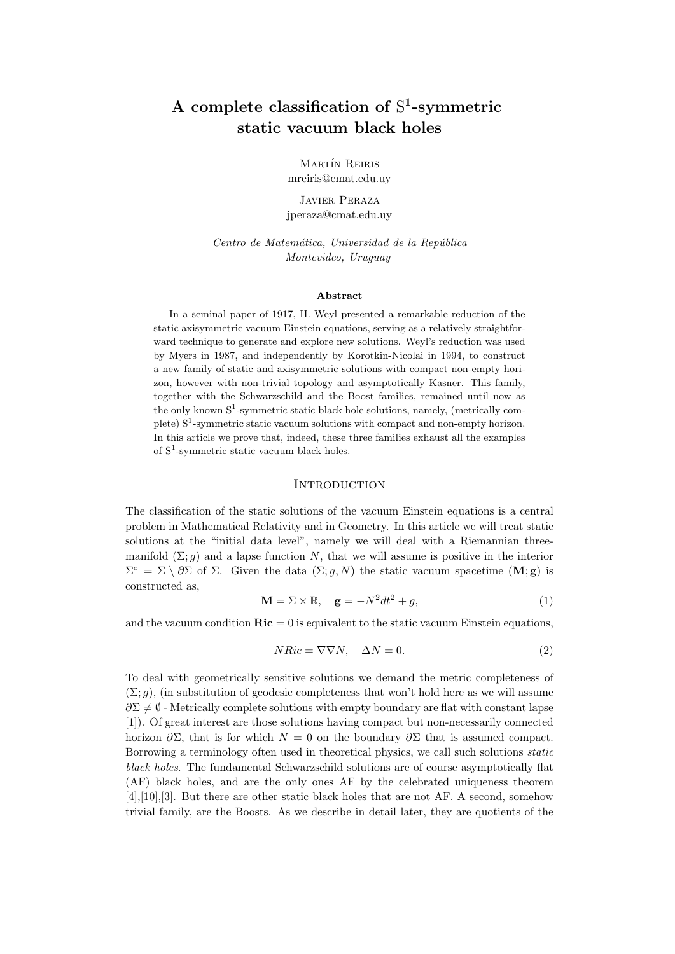# A complete classification of  $S^1$ -symmetric static vacuum black holes

MARTÍN REIRIS mreiris@cmat.edu.uy

Javier Peraza jperaza@cmat.edu.uy

Centro de Matemática, Universidad de la República Montevideo, Uruguay

## Abstract

In a seminal paper of 1917, H. Weyl presented a remarkable reduction of the static axisymmetric vacuum Einstein equations, serving as a relatively straightforward technique to generate and explore new solutions. Weyl's reduction was used by Myers in 1987, and independently by Korotkin-Nicolai in 1994, to construct a new family of static and axisymmetric solutions with compact non-empty horizon, however with non-trivial topology and asymptotically Kasner. This family, together with the Schwarzschild and the Boost families, remained until now as the only known  $S^1$ -symmetric static black hole solutions, namely, (metrically complete)  $S^1$ -symmetric static vacuum solutions with compact and non-empty horizon. In this article we prove that, indeed, these three families exhaust all the examples of S<sup>1</sup> -symmetric static vacuum black holes.

#### **INTRODUCTION**

The classification of the static solutions of the vacuum Einstein equations is a central problem in Mathematical Relativity and in Geometry. In this article we will treat static solutions at the "initial data level", namely we will deal with a Riemannian threemanifold  $(\Sigma; q)$  and a lapse function N, that we will assume is positive in the interior  $\Sigma^{\circ} = \Sigma \setminus \partial \Sigma$  of  $\Sigma$ . Given the data  $(\Sigma; g, N)$  the static vacuum spacetime  $(M; g)$  is constructed as,

$$
\mathbf{M} = \Sigma \times \mathbb{R}, \quad \mathbf{g} = -N^2 dt^2 + g,\tag{1}
$$

and the vacuum condition  $\mathbf{Ric} = 0$  is equivalent to the static vacuum Einstein equations,

$$
NRic = \nabla \nabla N, \quad \Delta N = 0. \tag{2}
$$

To deal with geometrically sensitive solutions we demand the metric completeness of  $(\Sigma; q)$ , (in substitution of geodesic completeness that won't hold here as we will assume  $\partial \Sigma \neq \emptyset$  - Metrically complete solutions with empty boundary are flat with constant lapse [1]). Of great interest are those solutions having compact but non-necessarily connected horizon  $\partial \Sigma$ , that is for which  $N = 0$  on the boundary  $\partial \Sigma$  that is assumed compact. Borrowing a terminology often used in theoretical physics, we call such solutions static black holes. The fundamental Schwarzschild solutions are of course asymptotically flat (AF) black holes, and are the only ones AF by the celebrated uniqueness theorem [4],[10],[3]. But there are other static black holes that are not AF. A second, somehow trivial family, are the Boosts. As we describe in detail later, they are quotients of the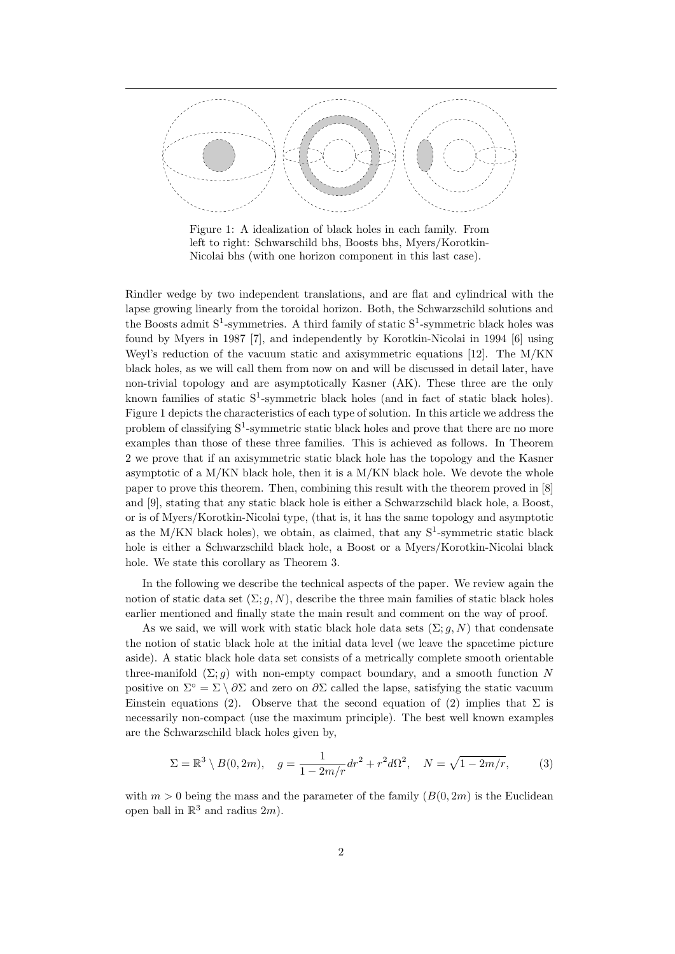

Figure 1: A idealization of black holes in each family. From left to right: Schwarschild bhs, Boosts bhs, Myers/Korotkin-Nicolai bhs (with one horizon component in this last case).

Rindler wedge by two independent translations, and are flat and cylindrical with the lapse growing linearly from the toroidal horizon. Both, the Schwarzschild solutions and the Boosts admit  $S^1$ -symmetries. A third family of static  $S^1$ -symmetric black holes was found by Myers in 1987 [7], and independently by Korotkin-Nicolai in 1994 [6] using Weyl's reduction of the vacuum static and axisymmetric equations [12]. The M/KN black holes, as we will call them from now on and will be discussed in detail later, have non-trivial topology and are asymptotically Kasner (AK). These three are the only known families of static  $S^1$ -symmetric black holes (and in fact of static black holes). Figure 1 depicts the characteristics of each type of solution. In this article we address the problem of classifying  $S^1$ -symmetric static black holes and prove that there are no more examples than those of these three families. This is achieved as follows. In Theorem 2 we prove that if an axisymmetric static black hole has the topology and the Kasner asymptotic of a  $M/KN$  black hole, then it is a  $M/KN$  black hole. We devote the whole paper to prove this theorem. Then, combining this result with the theorem proved in [8] and [9], stating that any static black hole is either a Schwarzschild black hole, a Boost, or is of Myers/Korotkin-Nicolai type, (that is, it has the same topology and asymptotic as the M/KN black holes), we obtain, as claimed, that any  $S^1$ -symmetric static black hole is either a Schwarzschild black hole, a Boost or a Myers/Korotkin-Nicolai black hole. We state this corollary as Theorem 3.

In the following we describe the technical aspects of the paper. We review again the notion of static data set  $(\Sigma; g, N)$ , describe the three main families of static black holes earlier mentioned and finally state the main result and comment on the way of proof.

As we said, we will work with static black hole data sets  $(\Sigma; g, N)$  that condensate the notion of static black hole at the initial data level (we leave the spacetime picture aside). A static black hole data set consists of a metrically complete smooth orientable three-manifold  $(\Sigma; g)$  with non-empty compact boundary, and a smooth function N positive on  $\Sigma^{\circ} = \Sigma \setminus \partial \Sigma$  and zero on  $\partial \Sigma$  called the lapse, satisfying the static vacuum Einstein equations (2). Observe that the second equation of (2) implies that  $\Sigma$  is necessarily non-compact (use the maximum principle). The best well known examples are the Schwarzschild black holes given by,

$$
\Sigma = \mathbb{R}^3 \setminus B(0, 2m), \quad g = \frac{1}{1 - 2m/r} dr^2 + r^2 d\Omega^2, \quad N = \sqrt{1 - 2m/r}, \tag{3}
$$

with  $m > 0$  being the mass and the parameter of the family  $(B(0, 2m))$  is the Euclidean open ball in  $\mathbb{R}^3$  and radius  $2m$ ).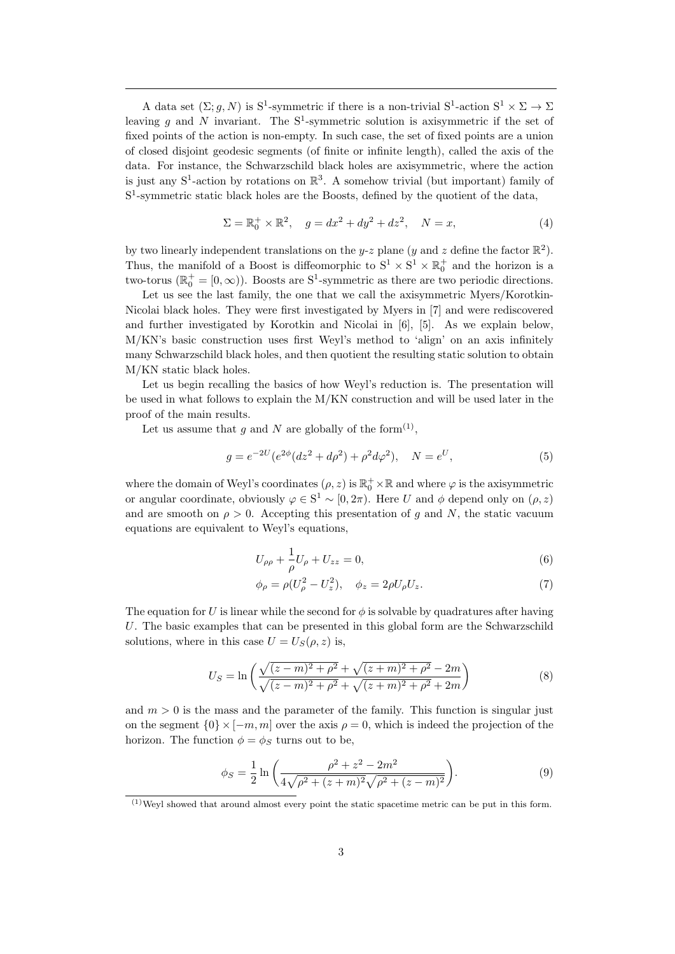A data set  $(\Sigma; g, N)$  is S<sup>1</sup>-symmetric if there is a non-trivial S<sup>1</sup>-action S<sup>1</sup>  $\times \Sigma \rightarrow \Sigma$ leaving  $g$  and  $N$  invariant. The  $S^1$ -symmetric solution is axisymmetric if the set of fixed points of the action is non-empty. In such case, the set of fixed points are a union of closed disjoint geodesic segments (of finite or infinite length), called the axis of the data. For instance, the Schwarzschild black holes are axisymmetric, where the action is just any  $S^1$ -action by rotations on  $\mathbb{R}^3$ . A somehow trivial (but important) family of S<sup>1</sup>-symmetric static black holes are the Boosts, defined by the quotient of the data,

$$
\Sigma = \mathbb{R}_0^+ \times \mathbb{R}^2, \quad g = dx^2 + dy^2 + dz^2, \quad N = x,
$$
 (4)

by two linearly independent translations on the y-z plane (y and z define the factor  $\mathbb{R}^2$ ). Thus, the manifold of a Boost is diffeomorphic to  $S^1 \times S^1 \times \mathbb{R}^+_0$  and the horizon is a two-torus ( $\mathbb{R}_0^+ = [0, \infty)$ ). Boosts are S<sup>1</sup>-symmetric as there are two periodic directions.

Let us see the last family, the one that we call the axisymmetric Myers/Korotkin-Nicolai black holes. They were first investigated by Myers in [7] and were rediscovered and further investigated by Korotkin and Nicolai in [6], [5]. As we explain below, M/KN's basic construction uses first Weyl's method to 'align' on an axis infinitely many Schwarzschild black holes, and then quotient the resulting static solution to obtain M/KN static black holes.

Let us begin recalling the basics of how Weyl's reduction is. The presentation will be used in what follows to explain the M/KN construction and will be used later in the proof of the main results.

Let us assume that g and N are globally of the form<sup>(1)</sup>,

$$
g = e^{-2U} (e^{2\phi} (dz^2 + d\rho^2) + \rho^2 d\varphi^2), \quad N = e^U,
$$
\n(5)

where the domain of Weyl's coordinates  $(\rho, z)$  is  $\mathbb{R}^+_0 \times \mathbb{R}$  and where  $\varphi$  is the axisymmetric or angular coordinate, obviously  $\varphi \in S^1 \sim [0, 2\pi)$ . Here U and  $\phi$  depend only on  $(\rho, z)$ and are smooth on  $\rho > 0$ . Accepting this presentation of g and N, the static vacuum equations are equivalent to Weyl's equations,

$$
U_{\rho\rho} + \frac{1}{\rho}U_{\rho} + U_{zz} = 0,
$$
\n(6)

$$
\phi_{\rho} = \rho (U_{\rho}^2 - U_z^2), \quad \phi_z = 2\rho U_{\rho} U_z. \tag{7}
$$

The equation for U is linear while the second for  $\phi$  is solvable by quadratures after having U. The basic examples that can be presented in this global form are the Schwarzschild solutions, where in this case  $U = U<sub>S</sub>(\rho, z)$  is,

$$
U_S = \ln\left(\frac{\sqrt{(z-m)^2 + \rho^2} + \sqrt{(z+m)^2 + \rho^2} - 2m}{\sqrt{(z-m)^2 + \rho^2} + \sqrt{(z+m)^2 + \rho^2} + 2m}\right)
$$
(8)

and  $m > 0$  is the mass and the parameter of the family. This function is singular just on the segment  ${0 \times [-m, m] }$  over the axis  $\rho = 0$ , which is indeed the projection of the horizon. The function  $\phi = \phi_S$  turns out to be,

$$
\phi_S = \frac{1}{2} \ln \left( \frac{\rho^2 + z^2 - 2m^2}{4\sqrt{\rho^2 + (z+m)^2} \sqrt{\rho^2 + (z-m)^2}} \right).
$$
\n(9)

 $^{(1)}$ Weyl showed that around almost every point the static spacetime metric can be put in this form.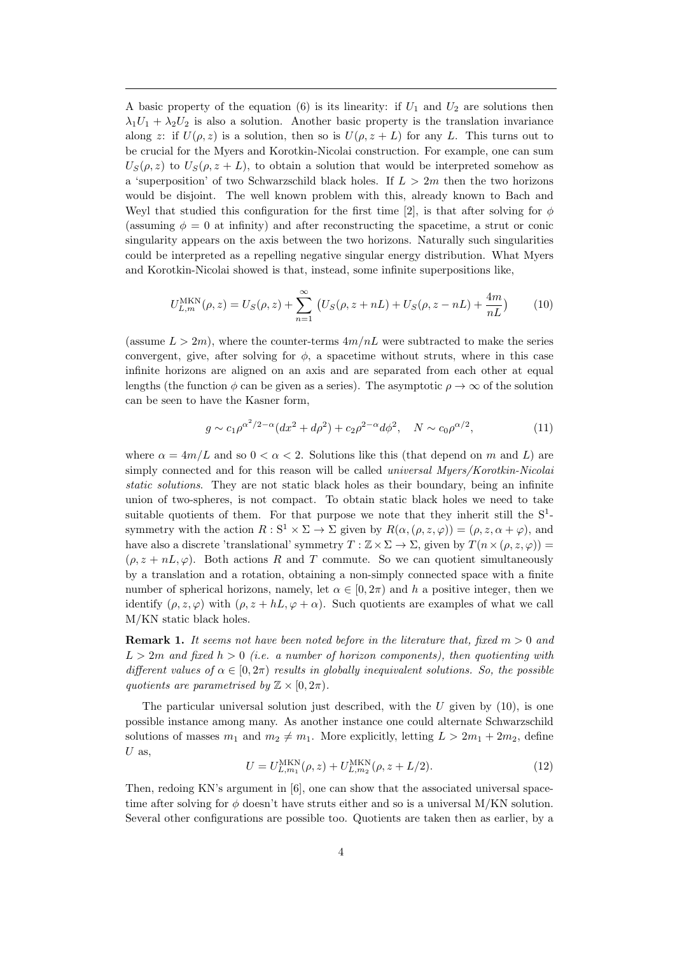A basic property of the equation (6) is its linearity: if  $U_1$  and  $U_2$  are solutions then  $\lambda_1 U_1 + \lambda_2 U_2$  is also a solution. Another basic property is the translation invariance along z: if  $U(\rho, z)$  is a solution, then so is  $U(\rho, z + L)$  for any L. This turns out to be crucial for the Myers and Korotkin-Nicolai construction. For example, one can sum  $U_S(\rho, z)$  to  $U_S(\rho, z + L)$ , to obtain a solution that would be interpreted somehow as a 'superposition' of two Schwarzschild black holes. If  $L > 2m$  then the two horizons would be disjoint. The well known problem with this, already known to Bach and Weyl that studied this configuration for the first time [2], is that after solving for  $\phi$ (assuming  $\phi = 0$  at infinity) and after reconstructing the spacetime, a strut or conic singularity appears on the axis between the two horizons. Naturally such singularities could be interpreted as a repelling negative singular energy distribution. What Myers and Korotkin-Nicolai showed is that, instead, some infinite superpositions like,

$$
U_{L,m}^{\text{MKN}}(\rho, z) = U_S(\rho, z) + \sum_{n=1}^{\infty} \left( U_S(\rho, z + nL) + U_S(\rho, z - nL) + \frac{4m}{nL} \right)
$$
 (10)

(assume  $L > 2m$ ), where the counter-terms  $4m/nL$  were subtracted to make the series convergent, give, after solving for  $\phi$ , a spacetime without struts, where in this case infinite horizons are aligned on an axis and are separated from each other at equal lengths (the function  $\phi$  can be given as a series). The asymptotic  $\rho \to \infty$  of the solution can be seen to have the Kasner form,

$$
g \sim c_1 \rho^{\alpha^2/2 - \alpha} (dx^2 + d\rho^2) + c_2 \rho^{2 - \alpha} d\phi^2, \quad N \sim c_0 \rho^{\alpha/2}, \tag{11}
$$

where  $\alpha = 4m/L$  and so  $0 < \alpha < 2$ . Solutions like this (that depend on m and L) are simply connected and for this reason will be called *universal Myers/Korotkin-Nicolai* static solutions. They are not static black holes as their boundary, being an infinite union of two-spheres, is not compact. To obtain static black holes we need to take suitable quotients of them. For that purpose we note that they inherit still the  $S^1$ symmetry with the action  $R : S^1 \times \Sigma \to \Sigma$  given by  $R(\alpha, (\rho, z, \varphi)) = (\rho, z, \alpha + \varphi)$ , and have also a discrete 'translational' symmetry  $T : \mathbb{Z} \times \Sigma \to \Sigma$ , given by  $T(n \times (\rho, z, \varphi)) =$  $(\rho, z + nL, \varphi)$ . Both actions R and T commute. So we can quotient simultaneously by a translation and a rotation, obtaining a non-simply connected space with a finite number of spherical horizons, namely, let  $\alpha \in [0, 2\pi)$  and h a positive integer, then we identify  $(\rho, z, \varphi)$  with  $(\rho, z + hL, \varphi + \alpha)$ . Such quotients are examples of what we call M/KN static black holes.

**Remark 1.** It seems not have been noted before in the literature that, fixed  $m > 0$  and  $L > 2m$  and fixed  $h > 0$  (i.e. a number of horizon components), then quotienting with different values of  $\alpha \in [0, 2\pi)$  results in globally inequivalent solutions. So, the possible quotients are parametrised by  $\mathbb{Z} \times [0, 2\pi)$ .

The particular universal solution just described, with the  $U$  given by  $(10)$ , is one possible instance among many. As another instance one could alternate Schwarzschild solutions of masses  $m_1$  and  $m_2 \neq m_1$ . More explicitly, letting  $L > 2m_1 + 2m_2$ , define  $U$  as,

$$
U = U_{L,m_1}^{\text{MKN}}(\rho, z) + U_{L,m_2}^{\text{MKN}}(\rho, z + L/2). \tag{12}
$$

Then, redoing KN's argument in [6], one can show that the associated universal spacetime after solving for  $\phi$  doesn't have struts either and so is a universal M/KN solution. Several other configurations are possible too. Quotients are taken then as earlier, by a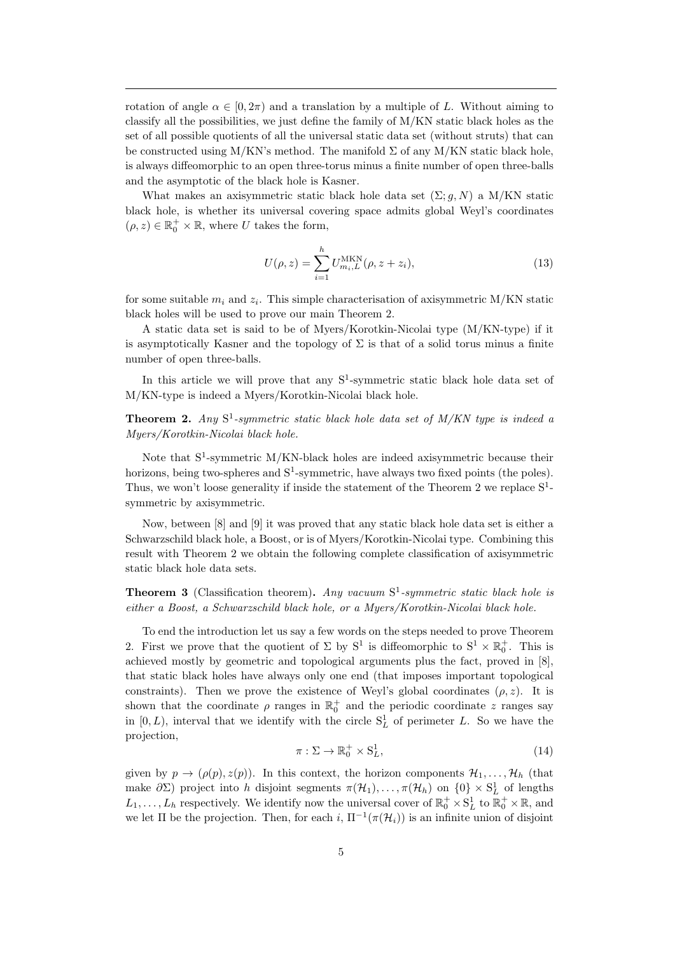rotation of angle  $\alpha \in [0, 2\pi)$  and a translation by a multiple of L. Without aiming to classify all the possibilities, we just define the family of M/KN static black holes as the set of all possible quotients of all the universal static data set (without struts) that can be constructed using M/KN's method. The manifold  $\Sigma$  of any M/KN static black hole, is always diffeomorphic to an open three-torus minus a finite number of open three-balls and the asymptotic of the black hole is Kasner.

What makes an axisymmetric static black hole data set  $(\Sigma; q, N)$  a M/KN static black hole, is whether its universal covering space admits global Weyl's coordinates  $(\rho, z) \in \mathbb{R}_0^+ \times \mathbb{R}$ , where U takes the form,

$$
U(\rho, z) = \sum_{i=1}^{h} U_{m_i, L}^{\text{MKN}}(\rho, z + z_i),
$$
\n(13)

for some suitable  $m_i$  and  $z_i$ . This simple characterisation of axisymmetric M/KN static black holes will be used to prove our main Theorem 2.

A static data set is said to be of Myers/Korotkin-Nicolai type (M/KN-type) if it is asymptotically Kasner and the topology of  $\Sigma$  is that of a solid torus minus a finite number of open three-balls.

In this article we will prove that any  $S^1$ -symmetric static black hole data set of M/KN-type is indeed a Myers/Korotkin-Nicolai black hole.

**Theorem 2.** Any  $S^1$ -symmetric static black hole data set of  $M/KN$  type is indeed a Myers/Korotkin-Nicolai black hole.

Note that  $S^1$ -symmetric M/KN-black holes are indeed axisymmetric because their horizons, being two-spheres and  $S^1$ -symmetric, have always two fixed points (the poles). Thus, we won't loose generality if inside the statement of the Theorem 2 we replace  $S^1$ symmetric by axisymmetric.

Now, between [8] and [9] it was proved that any static black hole data set is either a Schwarzschild black hole, a Boost, or is of Myers/Korotkin-Nicolai type. Combining this result with Theorem 2 we obtain the following complete classification of axisymmetric static black hole data sets.

**Theorem 3** (Classification theorem). Any vacuum  $S^1$ -symmetric static black hole is either a Boost, a Schwarzschild black hole, or a Myers/Korotkin-Nicolai black hole.

To end the introduction let us say a few words on the steps needed to prove Theorem 2. First we prove that the quotient of  $\Sigma$  by  $S^1$  is diffeomorphic to  $S^1 \times \mathbb{R}^+_0$ . This is achieved mostly by geometric and topological arguments plus the fact, proved in [8], that static black holes have always only one end (that imposes important topological constraints). Then we prove the existence of Weyl's global coordinates  $(\rho, z)$ . It is shown that the coordinate  $\rho$  ranges in  $\mathbb{R}^+_0$  and the periodic coordinate z ranges say in  $[0, L)$ , interval that we identify with the circle  $S<sub>L</sub><sup>1</sup>$  of perimeter L. So we have the projection,

$$
\pi: \Sigma \to \mathbb{R}_0^+ \times \mathbf{S}_L^1,\tag{14}
$$

given by  $p \to (\rho(p), z(p))$ . In this context, the horizon components  $\mathcal{H}_1, \ldots, \mathcal{H}_h$  (that make  $\partial \Sigma$ ) project into h disjoint segments  $\pi(\mathcal{H}_1), \ldots, \pi(\mathcal{H}_h)$  on  $\{0\} \times S^1_L$  of lengths  $L_1, \ldots, L_h$  respectively. We identify now the universal cover of  $\mathbb{R}^+_0 \times S^1_L$  to  $\mathbb{R}^+_0 \times \mathbb{R}$ , and we let  $\Pi$  be the projection. Then, for each i,  $\Pi^{-1}(\pi(\mathcal{H}_i))$  is an infinite union of disjoint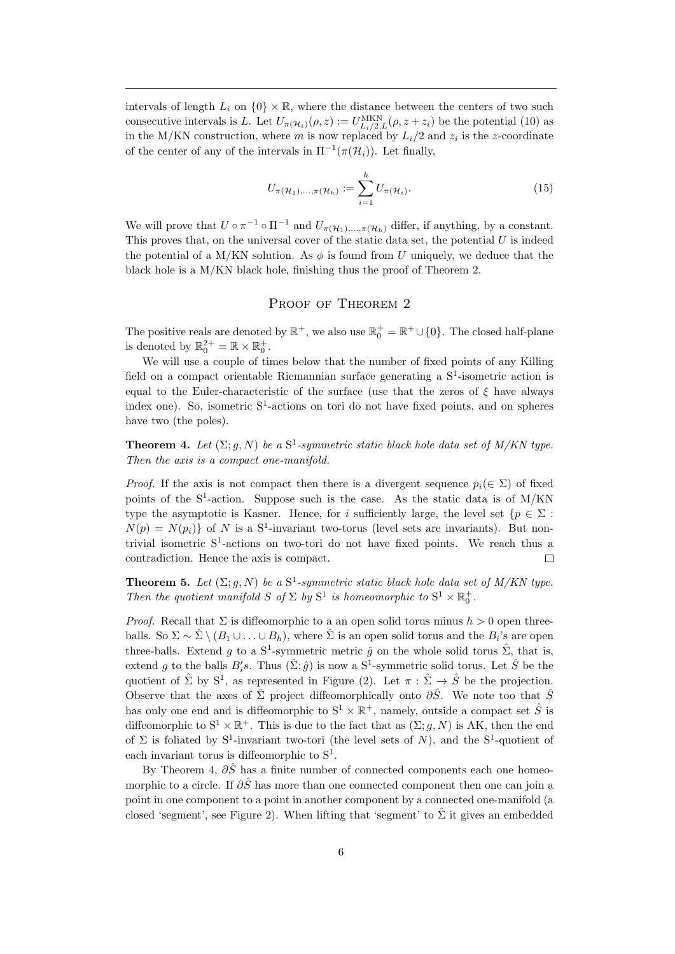intervals of length  $L_i$  on  $\{0\} \times \mathbb{R}$ , where the distance between the centers of two such consecutive intervals is L. Let  $U_{\pi(\mathcal{H}_i)}(\rho, z) := U_{L_i/2,L}^{\text{MKN}}(\rho, z + z_i)$  be the potential (10) as in the M/KN construction, where m is now replaced by  $L_i/2$  and  $z_i$  is the z-coordinate of the center of any of the intervals in  $\Pi^{-1}(\pi(\mathcal{H}_i))$ . Let finally,

$$
U_{\pi(\mathcal{H}_1),...,\pi(\mathcal{H}_h)} := \sum_{i=1}^h U_{\pi(\mathcal{H}_i)}.
$$
\n(15)

We will prove that  $U \circ \pi^{-1} \circ \Pi^{-1}$  and  $U_{\pi(\mathcal{H}_1),...,\pi(\mathcal{H}_h)}$  differ, if anything, by a constant. This proves that, on the universal cover of the static data set, the potential  $U$  is indeed the potential of a M/KN solution. As  $\phi$  is found from U uniquely, we deduce that the black hole is a M/KN black hole, finishing thus the proof of Theorem 2.

# PROOF OF THEOREM 2

The positive reals are denoted by  $\mathbb{R}^+$ , we also use  $\mathbb{R}_0^+ = \mathbb{R}^+ \cup \{0\}$ . The closed half-plane is denoted by  $\mathbb{R}_0^{2+} = \mathbb{R} \times \mathbb{R}_0^+$ .

We will use a couple of times below that the number of fixed points of any Killing field on a compact orientable Riemannian surface generating a  $S<sup>1</sup>$ -isometric action is equal to the Euler-characteristic of the surface (use that the zeros of  $\xi$  have always index one). So, isometric  $S^1$ -actions on tori do not have fixed points, and on spheres have two (the poles).

**Theorem 4.** Let  $(\Sigma; g, N)$  be a  $S^1$ -symmetric static black hole data set of M/KN type. Then the axis is a compact one-manifold.

*Proof.* If the axis is not compact then there is a divergent sequence  $p_i(\in \Sigma)$  of fixed points of the S<sup>1</sup>-action. Suppose such is the case. As the static data is of M/KN type the asymptotic is Kasner. Hence, for i sufficiently large, the level set  $\{p \in \Sigma :$  $N(p) = N(p_i)$  of N is a S<sup>1</sup>-invariant two-torus (level sets are invariants). But nontrivial isometric S<sup>1</sup>-actions on two-tori do not have fixed points. We reach thus a contradiction. Hence the axis is compact.  $\Box$ 

**Theorem 5.** Let  $(\Sigma; g, N)$  be a  $S^1$ -symmetric static black hole data set of M/KN type. Then the quotient manifold  $S$  of  $\Sigma$  by  $S^1$  is homeomorphic to  $S^1 \times \mathbb{R}_0^+$ .

*Proof.* Recall that  $\Sigma$  is diffeomorphic to a an open solid torus minus  $h > 0$  open threeballs. So  $\Sigma \sim \hat{\Sigma} \setminus (B_1 \cup \ldots \cup B_h)$ , where  $\hat{\Sigma}$  is an open solid torus and the  $B_i$ 's are open three-balls. Extend g to a  $S^1$ -symmetric metric  $\hat{g}$  on the whole solid torus  $\hat{\Sigma}$ , that is, extend g to the balls  $B_i$ 's. Thus  $(\hat{\Sigma}; \hat{g})$  is now a  $S^1$ -symmetric solid torus. Let  $\hat{S}$  be the quotient of  $\hat{\Sigma}$  by  $S^1$ , as represented in Figure (2). Let  $\pi : \hat{\Sigma} \to \hat{S}$  be the projection. Observe that the axes of  $\hat{\Sigma}$  project diffeomorphically onto  $\partial \hat{S}$ . We note too that  $\hat{S}$ has only one end and is diffeomorphic to  $S^1 \times \mathbb{R}^+$ , namely, outside a compact set  $\hat{S}$  is diffeomorphic to  $S^1 \times \mathbb{R}^+$ . This is due to the fact that as  $(\Sigma; g, N)$  is AK, then the end of  $\Sigma$  is foliated by  $S^1$ -invariant two-tori (the level sets of N), and the  $S^1$ -quotient of each invariant torus is diffeomorphic to  $S^1$ .

By Theorem 4,  $\partial \hat{S}$  has a finite number of connected components each one homeomorphic to a circle. If  $\partial \hat{S}$  has more than one connected component then one can join a point in one component to a point in another component by a connected one-manifold (a closed 'segment', see Figure 2). When lifting that 'segment' to  $\hat{\Sigma}$  it gives an embedded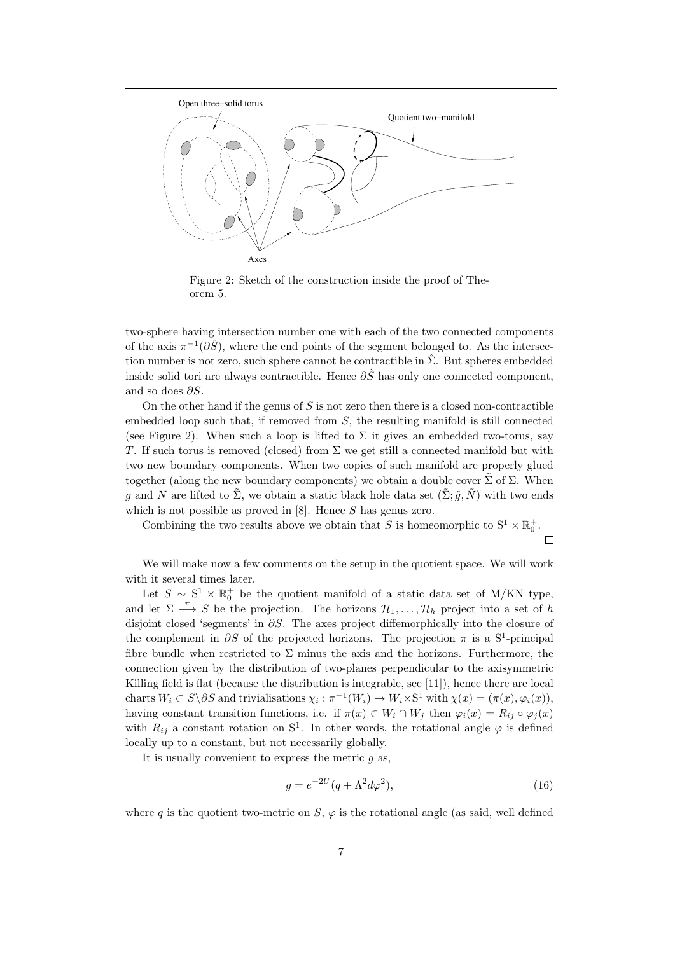

Figure 2: Sketch of the construction inside the proof of Theorem 5.

two-sphere having intersection number one with each of the two connected components of the axis  $\pi^{-1}(\partial \hat{S})$ , where the end points of the segment belonged to. As the intersection number is not zero, such sphere cannot be contractible in  $\Sigma$ . But spheres embedded inside solid tori are always contractible. Hence  $\partial \tilde{S}$  has only one connected component, and so does  $\partial S$ .

On the other hand if the genus of  $S$  is not zero then there is a closed non-contractible embedded loop such that, if removed from  $S$ , the resulting manifold is still connected (see Figure 2). When such a loop is lifted to  $\Sigma$  it gives an embedded two-torus, say T. If such torus is removed (closed) from  $\Sigma$  we get still a connected manifold but with two new boundary components. When two copies of such manifold are properly glued together (along the new boundary components) we obtain a double cover  $\tilde{\Sigma}$  of  $\Sigma$ . When q and N are lifted to  $\tilde{\Sigma}$ , we obtain a static black hole data set  $(\tilde{\Sigma}; \tilde{q}, \tilde{N})$  with two ends which is not possible as proved in  $[8]$ . Hence S has genus zero.

Combining the two results above we obtain that S is homeomorphic to  $S^1 \times \mathbb{R}_0^+$ .

 $\Box$ 

We will make now a few comments on the setup in the quotient space. We will work with it several times later.

Let  $S \sim S^1 \times \mathbb{R}_0^+$  be the quotient manifold of a static data set of M/KN type, and let  $\Sigma \stackrel{\pi}{\longrightarrow} S$  be the projection. The horizons  $\mathcal{H}_1, \ldots, \mathcal{H}_h$  project into a set of h disjoint closed 'segments' in ∂S. The axes project diffemorphically into the closure of the complement in  $\partial S$  of the projected horizons. The projection  $\pi$  is a S<sup>1</sup>-principal fibre bundle when restricted to  $\Sigma$  minus the axis and the horizons. Furthermore, the connection given by the distribution of two-planes perpendicular to the axisymmetric Killing field is flat (because the distribution is integrable, see [11]), hence there are local charts  $W_i \subset S \backslash \partial S$  and trivialisations  $\chi_i : \pi^{-1}(W_i) \to W_i \times S^1$  with  $\chi(x) = (\pi(x), \varphi_i(x)),$ having constant transition functions, i.e. if  $\pi(x) \in W_i \cap W_j$  then  $\varphi_i(x) = R_{ij} \circ \varphi_j(x)$ with  $R_{ij}$  a constant rotation on S<sup>1</sup>. In other words, the rotational angle  $\varphi$  is defined locally up to a constant, but not necessarily globally.

It is usually convenient to express the metric  $g$  as,

$$
g = e^{-2U}(q + \Lambda^2 d\varphi^2),\tag{16}
$$

where q is the quotient two-metric on  $S$ ,  $\varphi$  is the rotational angle (as said, well defined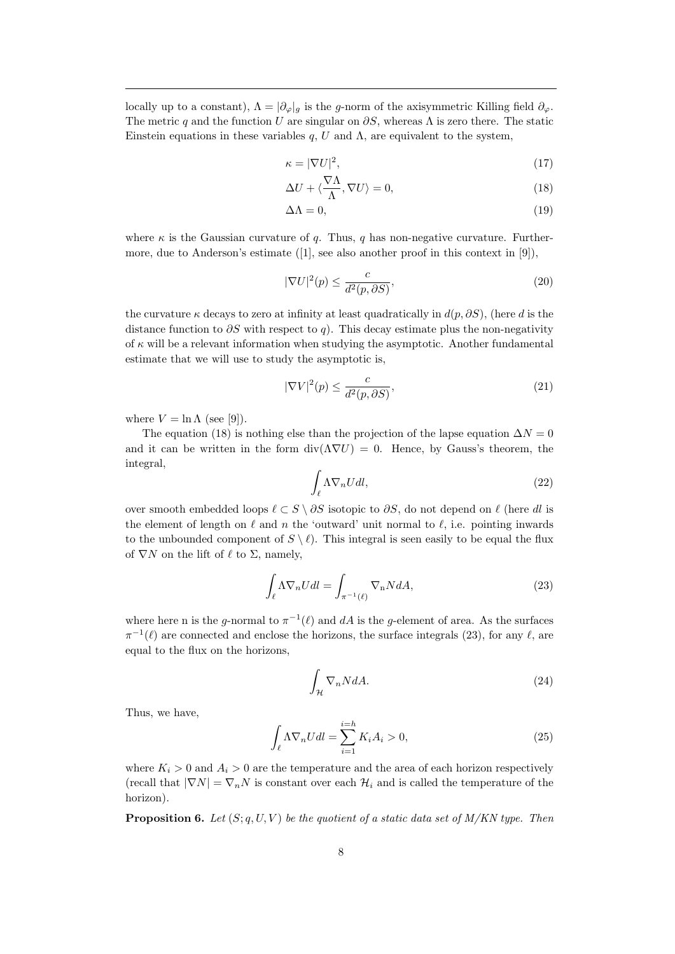locally up to a constant),  $\Lambda = |\partial_{\varphi}|_g$  is the g-norm of the axisymmetric Killing field  $\partial_{\varphi}$ . The metric q and the function U are singular on  $\partial S$ , whereas  $\Lambda$  is zero there. The static Einstein equations in these variables q, U and  $\Lambda$ , are equivalent to the system,

$$
\kappa = |\nabla U|^2,\tag{17}
$$

$$
\Delta U + \langle \frac{\nabla \Lambda}{\Lambda}, \nabla U \rangle = 0,\tag{18}
$$

$$
\Delta \Lambda = 0,\tag{19}
$$

where  $\kappa$  is the Gaussian curvature of q. Thus, q has non-negative curvature. Furthermore, due to Anderson's estimate ([1], see also another proof in this context in [9]),

$$
|\nabla U|^2(p) \le \frac{c}{d^2(p, \partial S)},\tag{20}
$$

the curvature  $\kappa$  decays to zero at infinity at least quadratically in  $d(p, \partial S)$ , (here d is the distance function to  $\partial S$  with respect to q). This decay estimate plus the non-negativity of  $\kappa$  will be a relevant information when studying the asymptotic. Another fundamental estimate that we will use to study the asymptotic is,

$$
|\nabla V|^2(p) \le \frac{c}{d^2(p, \partial S)},\tag{21}
$$

where  $V = \ln \Lambda$  (see [9]).

The equation (18) is nothing else than the projection of the lapse equation  $\Delta N = 0$ and it can be written in the form  $\text{div}(\Lambda \nabla U) = 0$ . Hence, by Gauss's theorem, the integral,

$$
\int_{\ell} \Lambda \nabla_n U dl,\tag{22}
$$

over smooth embedded loops  $\ell \subset S \setminus \partial S$  isotopic to  $\partial S$ , do not depend on  $\ell$  (here dl is the element of length on  $\ell$  and n the 'outward' unit normal to  $\ell$ , i.e. pointing inwards to the unbounded component of  $S \setminus \ell$ . This integral is seen easily to be equal the flux of  $\nabla N$  on the lift of  $\ell$  to  $\Sigma$ , namely,

$$
\int_{\ell} \Lambda \nabla_n U dl = \int_{\pi^{-1}(\ell)} \nabla_n N dA,\tag{23}
$$

where here n is the g-normal to  $\pi^{-1}(\ell)$  and dA is the g-element of area. As the surfaces  $\pi^{-1}(\ell)$  are connected and enclose the horizons, the surface integrals (23), for any  $\ell$ , are equal to the flux on the horizons,

$$
\int_{\mathcal{H}} \nabla_n N dA. \tag{24}
$$

Thus, we have,

$$
\int_{\ell} \Lambda \nabla_n U dl = \sum_{i=1}^{i=h} K_i A_i > 0,
$$
\n(25)

where  $K_i > 0$  and  $A_i > 0$  are the temperature and the area of each horizon respectively (recall that  $|\nabla N| = \nabla_n N$  is constant over each  $\mathcal{H}_i$  and is called the temperature of the horizon).

**Proposition 6.** Let  $(S; q, U, V)$  be the quotient of a static data set of  $M/KN$  type. Then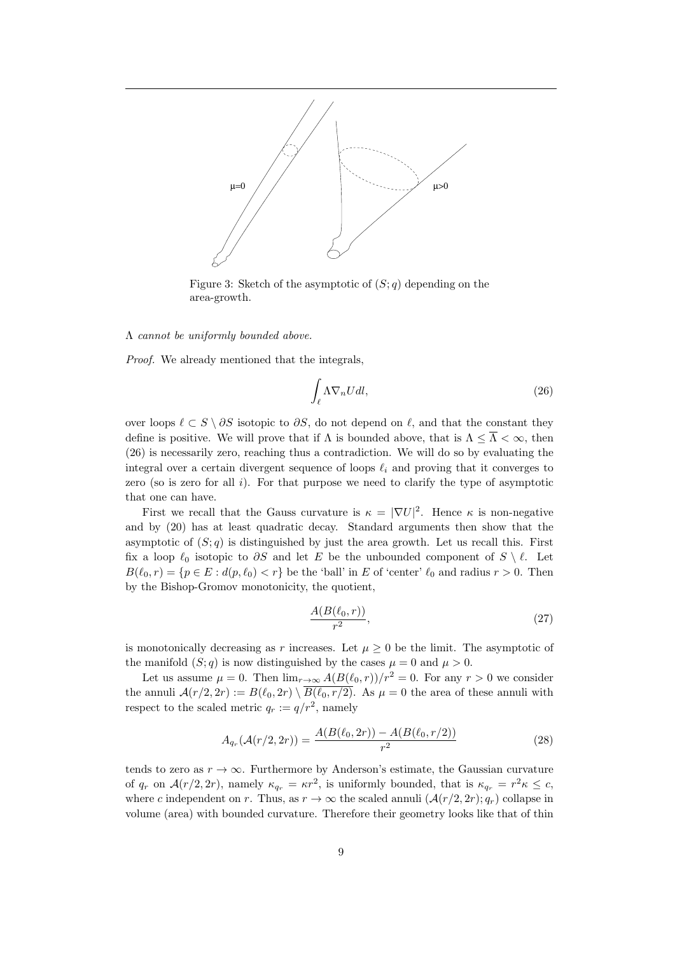

Figure 3: Sketch of the asymptotic of  $(S; q)$  depending on the area-growth.

# Λ cannot be uniformly bounded above.

Proof. We already mentioned that the integrals,

$$
\int_{\ell} \Lambda \nabla_n U dl,\tag{26}
$$

over loops  $\ell \subset S \setminus \partial S$  isotopic to  $\partial S$ , do not depend on  $\ell$ , and that the constant they define is positive. We will prove that if  $\Lambda$  is bounded above, that is  $\Lambda \leq \overline{\Lambda} < \infty$ , then (26) is necessarily zero, reaching thus a contradiction. We will do so by evaluating the integral over a certain divergent sequence of loops  $\ell_i$  and proving that it converges to zero (so is zero for all  $i$ ). For that purpose we need to clarify the type of asymptotic that one can have.

First we recall that the Gauss curvature is  $\kappa = |\nabla U|^2$ . Hence  $\kappa$  is non-negative and by (20) has at least quadratic decay. Standard arguments then show that the asymptotic of  $(S; q)$  is distinguished by just the area growth. Let us recall this. First fix a loop  $\ell_0$  isotopic to  $\partial S$  and let E be the unbounded component of  $S \setminus \ell$ . Let  $B(\ell_0, r) = \{p \in E : d(p, \ell_0) < r\}$  be the 'ball' in E of 'center'  $\ell_0$  and radius  $r > 0$ . Then by the Bishop-Gromov monotonicity, the quotient,

$$
\frac{A(B(\ell_0, r))}{r^2},\tag{27}
$$

is monotonically decreasing as r increases. Let  $\mu \geq 0$  be the limit. The asymptotic of the manifold  $(S; q)$  is now distinguished by the cases  $\mu = 0$  and  $\mu > 0$ .

Let us assume  $\mu = 0$ . Then  $\lim_{r \to \infty} A(B(\ell_0, r))/r^2 = 0$ . For any  $r > 0$  we consider the annuli  $\mathcal{A}(r/2, 2r) := B(\ell_0, 2r) \setminus \overline{B(\ell_0, r/2)}$ . As  $\mu = 0$  the area of these annuli with respect to the scaled metric  $q_r := q/r^2$ , namely

$$
A_{q_r}(\mathcal{A}(r/2, 2r)) = \frac{A(B(\ell_0, 2r)) - A(B(\ell_0, r/2))}{r^2}
$$
\n(28)

tends to zero as  $r \to \infty$ . Furthermore by Anderson's estimate, the Gaussian curvature of  $q_r$  on  $\mathcal{A}(r/2, 2r)$ , namely  $\kappa_{q_r} = \kappa r^2$ , is uniformly bounded, that is  $\kappa_{q_r} = r^2 \kappa \leq c$ , where c independent on r. Thus, as  $r \to \infty$  the scaled annuli  $(\mathcal{A}(r/2, 2r); q_r)$  collapse in volume (area) with bounded curvature. Therefore their geometry looks like that of thin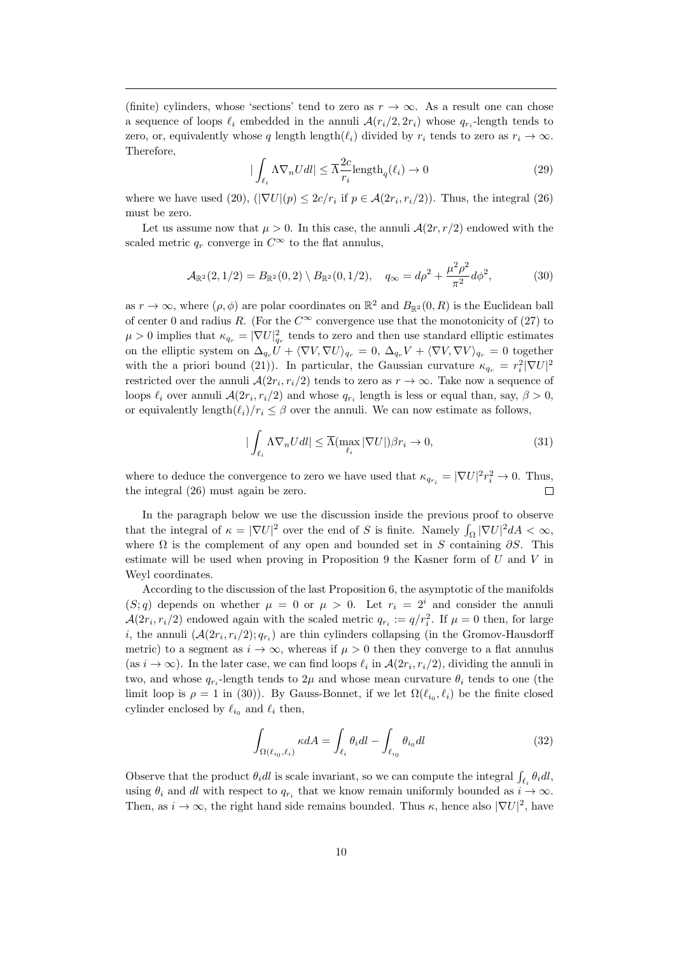(finite) cylinders, whose 'sections' tend to zero as  $r \to \infty$ . As a result one can chose a sequence of loops  $\ell_i$  embedded in the annuli  $\mathcal{A}(r_i/2, 2r_i)$  whose  $q_{r_i}$ -length tends to zero, or, equivalently whose q length length $(\ell_i)$  divided by  $r_i$  tends to zero as  $r_i \to \infty$ . Therefore,

$$
|\int_{\ell_i} \Lambda \nabla_n U dl| \le \overline{\Lambda} \frac{2c}{r_i} \text{length}_q(\ell_i) \to 0
$$
 (29)

where we have used (20),  $(|\nabla U|(p) \leq 2c/r_i$  if  $p \in \mathcal{A}(2r_i, r_i/2)$ ). Thus, the integral (26) must be zero.

Let us assume now that  $\mu > 0$ . In this case, the annuli  $\mathcal{A}(2r, r/2)$  endowed with the scaled metric  $q_r$  converge in  $C^{\infty}$  to the flat annulus,

$$
\mathcal{A}_{\mathbb{R}^2}(2,1/2) = B_{\mathbb{R}^2}(0,2) \setminus B_{\mathbb{R}^2}(0,1/2), \quad q_{\infty} = d\rho^2 + \frac{\mu^2 \rho^2}{\pi^2} d\phi^2, \tag{30}
$$

as  $r \to \infty$ , where  $(\rho, \phi)$  are polar coordinates on  $\mathbb{R}^2$  and  $B_{\mathbb{R}^2}(0, R)$  is the Euclidean ball of center 0 and radius R. (For the  $C^{\infty}$  convergence use that the monotonicity of (27) to  $\mu > 0$  implies that  $\kappa_{q_r} = |\nabla U|^2_{q_r}$  tends to zero and then use standard elliptic estimates on the elliptic system on  $\Delta_{q_r}U + \langle \nabla V, \nabla U \rangle_{q_r} = 0$ ,  $\Delta_{q_r}V + \langle \nabla V, \nabla V \rangle_{q_r} = 0$  together with the a priori bound (21)). In particular, the Gaussian curvature  $\kappa_{q_r} = r_i^2 |\nabla U|^2$ restricted over the annuli  $\mathcal{A}(2r_i, r_i/2)$  tends to zero as  $r \to \infty$ . Take now a sequence of loops  $\ell_i$  over annuli  $\mathcal{A}(2r_i, r_i/2)$  and whose  $q_{r_i}$  length is less or equal than, say,  $\beta > 0$ , or equivalently length $(\ell_i)/r_i \leq \beta$  over the annuli. We can now estimate as follows,

$$
|\int_{\ell_i} \Lambda \nabla_n U dl| \le \overline{\Lambda}(\max_{\ell_i} |\nabla U|) \beta r_i \to 0,
$$
\n(31)

where to deduce the convergence to zero we have used that  $\kappa_{q_{r_i}} = |\nabla U|^2 r_i^2 \to 0$ . Thus, the integral (26) must again be zero.  $\Box$ 

In the paragraph below we use the discussion inside the previous proof to observe that the integral of  $\kappa = |\nabla U|^2$  over the end of S is finite. Namely  $\int_{\Omega} |\nabla U|^2 dA < \infty$ , where  $\Omega$  is the complement of any open and bounded set in S containing  $\partial S$ . This estimate will be used when proving in Proposition 9 the Kasner form of  $U$  and  $V$  in Weyl coordinates.

According to the discussion of the last Proposition 6, the asymptotic of the manifolds  $(S; q)$  depends on whether  $\mu = 0$  or  $\mu > 0$ . Let  $r_i = 2^i$  and consider the annuli  $\mathcal{A}(2r_i, r_i/2)$  endowed again with the scaled metric  $q_{r_i} := q/r_i^2$ . If  $\mu = 0$  then, for large *i*, the annuli  $(A(2r_i, r_i/2); q_{r_i})$  are thin cylinders collapsing (in the Gromov-Hausdorff metric) to a segment as  $i \to \infty$ , whereas if  $\mu > 0$  then they converge to a flat annulus (as  $i \to \infty$ ). In the later case, we can find loops  $\ell_i$  in  $\mathcal{A}(2r_i, r_i/2)$ , dividing the annuli in two, and whose  $q_{r_i}$ -length tends to  $2\mu$  and whose mean curvature  $\theta_i$  tends to one (the limit loop is  $\rho = 1$  in (30)). By Gauss-Bonnet, if we let  $\Omega(\ell_{i_0}, \ell_i)$  be the finite closed cylinder enclosed by  $\ell_{i_0}$  and  $\ell_i$  then,

$$
\int_{\Omega(\ell_{i_0}, \ell_i)} \kappa dA = \int_{\ell_i} \theta_i dl - \int_{\ell_{i_0}} \theta_{i_0} dl \tag{32}
$$

Observe that the product  $\theta_i dl$  is scale invariant, so we can compute the integral  $\int_{\ell_i} \theta_i dl$ , using  $\theta_i$  and dl with respect to  $q_{r_i}$  that we know remain uniformly bounded as  $i \to \infty$ . Then, as  $i \to \infty$ , the right hand side remains bounded. Thus  $\kappa$ , hence also  $|\nabla U|^2$ , have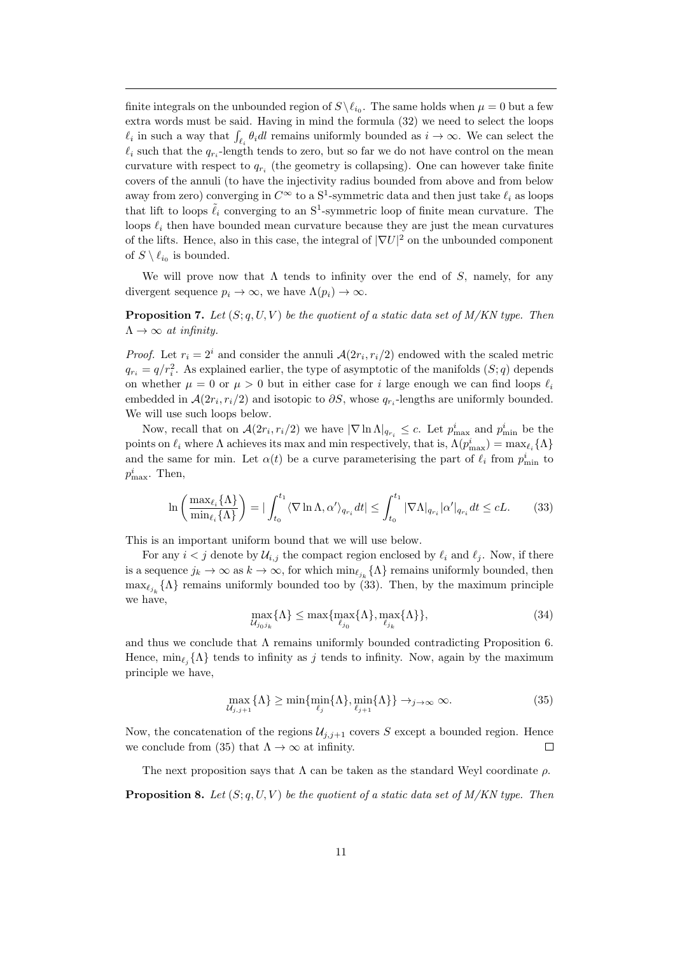finite integrals on the unbounded region of  $S \setminus \ell_{i_0}$ . The same holds when  $\mu = 0$  but a few extra words must be said. Having in mind the formula (32) we need to select the loops  $\ell_i$  in such a way that  $\int_{\ell_i} \theta_i dl$  remains uniformly bounded as  $i \to \infty$ . We can select the  $\ell_i$  such that the  $q_{r_i}$ -length tends to zero, but so far we do not have control on the mean curvature with respect to  $q_{r_i}$  (the geometry is collapsing). One can however take finite covers of the annuli (to have the injectivity radius bounded from above and from below away from zero) converging in  $C^{\infty}$  to a  $S^1$ -symmetric data and then just take  $\ell_i$  as loops that lift to loops  $\tilde{\ell}_i$  converging to an S<sup>1</sup>-symmetric loop of finite mean curvature. The loops  $\ell_i$  then have bounded mean curvature because they are just the mean curvatures of the lifts. Hence, also in this case, the integral of  $|\nabla U|^2$  on the unbounded component of  $S \setminus \ell_{i_0}$  is bounded.

We will prove now that  $\Lambda$  tends to infinity over the end of S, namely, for any divergent sequence  $p_i \to \infty$ , we have  $\Lambda(p_i) \to \infty$ .

**Proposition 7.** Let  $(S; q, U, V)$  be the quotient of a static data set of  $M/KN$  type. Then  $\Lambda \rightarrow \infty$  at infinity.

*Proof.* Let  $r_i = 2^i$  and consider the annuli  $\mathcal{A}(2r_i, r_i/2)$  endowed with the scaled metric  $q_{r_i} = q/r_i^2$ . As explained earlier, the type of asymptotic of the manifolds  $(S; q)$  depends on whether  $\mu = 0$  or  $\mu > 0$  but in either case for i large enough we can find loops  $\ell_i$ embedded in  $\mathcal{A}(2r_i, r_i/2)$  and isotopic to  $\partial S$ , whose  $q_{r_i}$ -lengths are uniformly bounded. We will use such loops below.

Now, recall that on  $\mathcal{A}(2r_i,r_i/2)$  we have  $|\nabla \ln \Lambda|_{q_{r_i}} \leq c$ . Let  $p_{\text{max}}^i$  and  $p_{\text{min}}^i$  be the points on  $\ell_i$  where  $\Lambda$  achieves its max and min respectively, that is,  $\Lambda(p_{\max}^i) = \max_{\ell_i} {\{\Lambda\}}$ and the same for min. Let  $\alpha(t)$  be a curve parameterising the part of  $\ell_i$  from  $p_{\min}^i$  to  $p_{\text{max}}^i$ . Then,

$$
\ln\left(\frac{\max_{\ell_i}\{\Lambda\}}{\min_{\ell_i}\{\Lambda\}}\right) = |\int_{t_0}^{t_1} \langle \nabla \ln \Lambda, \alpha' \rangle_{q_{r_i}} dt| \le \int_{t_0}^{t_1} |\nabla \Lambda|_{q_{r_i}} |\alpha'|_{q_{r_i}} dt \le cL. \tag{33}
$$

This is an important uniform bound that we will use below.

For any  $i < j$  denote by  $\mathcal{U}_{i,j}$  the compact region enclosed by  $\ell_i$  and  $\ell_j$ . Now, if there is a sequence  $j_k \to \infty$  as  $k \to \infty$ , for which  $\min_{\ell_{j_k}} {\{\Lambda\}}$  remains uniformly bounded, then  $\max_{\ell_{j_k}} {\Lambda}$  remains uniformly bounded too by (33). Then, by the maximum principle we have,

$$
\max_{\mathcal{U}_{j_0j_k}} \{\Lambda\} \le \max\{\max_{\ell_{j_0}} \{\Lambda\}, \max_{\ell_{j_k}} \{\Lambda\}\},\tag{34}
$$

and thus we conclude that  $\Lambda$  remains uniformly bounded contradicting Proposition 6. Hence,  $\min_{\ell_j} {\{\Lambda\}}$  tends to infinity as j tends to infinity. Now, again by the maximum principle we have,

$$
\max_{\mathcal{U}_{j,j+1}} \{\Lambda\} \ge \min\{\min_{\ell_j} \{\Lambda\}, \min_{\ell_{j+1}} \{\Lambda\}\} \to_{j \to \infty} \infty.
$$
 (35)

Now, the concatenation of the regions  $\mathcal{U}_{j,j+1}$  covers S except a bounded region. Hence we conclude from (35) that  $\Lambda \rightarrow \infty$  at infinity.  $\Box$ 

The next proposition says that  $\Lambda$  can be taken as the standard Weyl coordinate  $\rho$ . **Proposition 8.** Let  $(S; q, U, V)$  be the quotient of a static data set of M/KN type. Then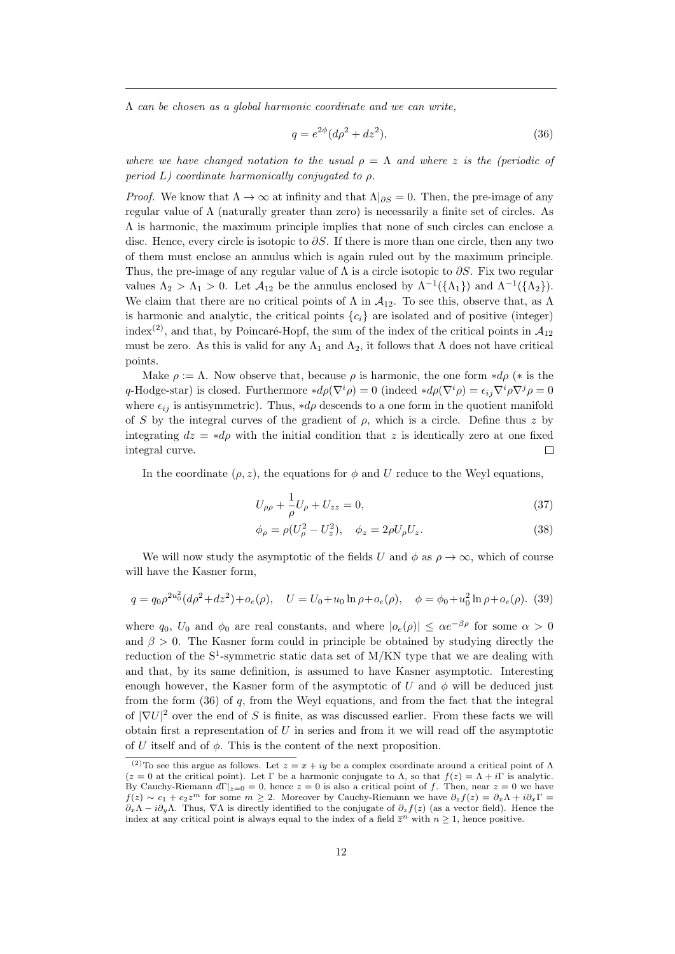$\Lambda$  can be chosen as a global harmonic coordinate and we can write,

$$
q = e^{2\phi} (d\rho^2 + dz^2),
$$
\n(36)

where we have changed notation to the usual  $\rho = \Lambda$  and where z is the (periodic of period L) coordinate harmonically conjugated to  $\rho$ .

*Proof.* We know that  $\Lambda \to \infty$  at infinity and that  $\Lambda|_{\partial S} = 0$ . Then, the pre-image of any regular value of Λ (naturally greater than zero) is necessarily a finite set of circles. As Λ is harmonic, the maximum principle implies that none of such circles can enclose a disc. Hence, every circle is isotopic to  $\partial S$ . If there is more than one circle, then any two of them must enclose an annulus which is again ruled out by the maximum principle. Thus, the pre-image of any regular value of  $\Lambda$  is a circle isotopic to  $\partial S$ . Fix two regular values  $\Lambda_2 > \Lambda_1 > 0$ . Let  $\mathcal{A}_{12}$  be the annulus enclosed by  $\Lambda^{-1}(\{\Lambda_1\})$  and  $\Lambda^{-1}(\{\Lambda_2\})$ . We claim that there are no critical points of  $\Lambda$  in  $\mathcal{A}_{12}$ . To see this, observe that, as  $\Lambda$ is harmonic and analytic, the critical points  ${c_i}$  are isolated and of positive (integer) index<sup>(2)</sup>, and that, by Poincaré-Hopf, the sum of the index of the critical points in  $\mathcal{A}_{12}$ must be zero. As this is valid for any  $\Lambda_1$  and  $\Lambda_2$ , it follows that  $\Lambda$  does not have critical points.

Make  $\rho := \Lambda$ . Now observe that, because  $\rho$  is harmonic, the one form  $*d\rho$  (\* is the q-Hodge-star) is closed. Furthermore  $*d\rho(\nabla^i \rho) = 0$  (indeed  $*d\rho(\nabla^i \rho) = \epsilon_{ij}\nabla^i \rho \nabla^j \rho = 0$ where  $\epsilon_{ij}$  is antisymmetric). Thus, \*d<sub> $\rho$ </sub> descends to a one form in the quotient manifold of S by the integral curves of the gradient of  $\rho$ , which is a circle. Define thus z by integrating  $dz = *d\rho$  with the initial condition that z is identically zero at one fixed integral curve.  $\Box$ 

In the coordinate  $(\rho, z)$ , the equations for  $\phi$  and U reduce to the Weyl equations,

$$
U_{\rho\rho} + \frac{1}{\rho}U_{\rho} + U_{zz} = 0,
$$
\n(37)

$$
\phi_{\rho} = \rho (U_{\rho}^2 - U_z^2), \quad \phi_z = 2\rho U_{\rho} U_z.
$$
\n(38)

We will now study the asymptotic of the fields U and  $\phi$  as  $\rho \to \infty$ , which of course will have the Kasner form,

$$
q = q_0 \rho^{2u_0^2} (d\rho^2 + dz^2) + o_e(\rho), \quad U = U_0 + u_0 \ln \rho + o_e(\rho), \quad \phi = \phi_0 + u_0^2 \ln \rho + o_e(\rho).
$$
 (39)

where  $q_0$ ,  $U_0$  and  $\phi_0$  are real constants, and where  $|o_e(\rho)| \leq \alpha e^{-\beta \rho}$  for some  $\alpha > 0$ and  $\beta > 0$ . The Kasner form could in principle be obtained by studying directly the reduction of the  $S^1$ -symmetric static data set of M/KN type that we are dealing with and that, by its same definition, is assumed to have Kasner asymptotic. Interesting enough however, the Kasner form of the asymptotic of U and  $\phi$  will be deduced just from the form (36) of q, from the Weyl equations, and from the fact that the integral of  $|\nabla U|^2$  over the end of S is finite, as was discussed earlier. From these facts we will obtain first a representation of  $U$  in series and from it we will read off the asymptotic of U itself and of  $\phi$ . This is the content of the next proposition.

<sup>&</sup>lt;sup>(2)</sup>To see this argue as follows. Let  $z = x + iy$  be a complex coordinate around a critical point of  $\Lambda$  $(z = 0$  at the critical point). Let Γ be a harmonic conjugate to Λ, so that  $f(z) = \Lambda + i\Gamma$  is analytic. By Cauchy-Riemann  $d\Gamma|_{z=0} = 0$ , hence  $z = 0$  is also a critical point of f. Then, near  $z = 0$  we have  $f(z) \sim c_1 + c_2 z^m$  for some  $m \geq 2$ . Moreover by Cauchy-Riemann we have  $\partial_z f(z) = \partial_x \Lambda + i \partial_x \Gamma =$  $\partial_x \Lambda - i \partial_y \Lambda$ . Thus,  $\nabla \Lambda$  is directly identified to the conjugate of  $\partial_z f(z)$  (as a vector field). Hence the index at any critical point is always equal to the index of a field  $\overline{z}^n$  with  $n \geq 1$ , hence positive.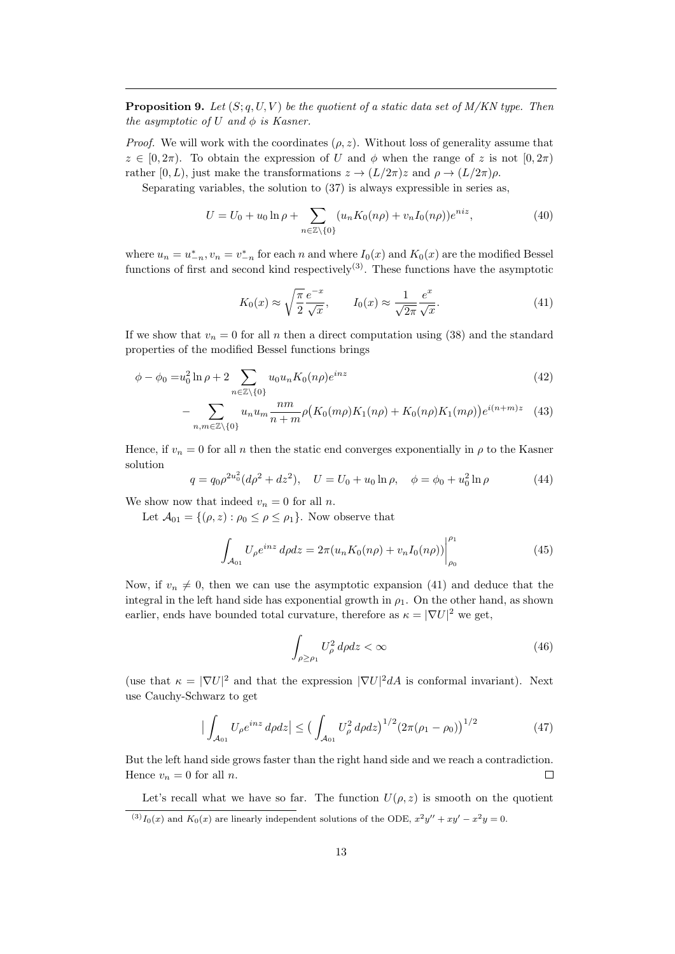**Proposition 9.** Let  $(S; q, U, V)$  be the quotient of a static data set of  $M/KN$  type. Then the asymptotic of U and  $\phi$  is Kasner.

*Proof.* We will work with the coordinates  $(\rho, z)$ . Without loss of generality assume that  $z \in [0, 2\pi)$ . To obtain the expression of U and  $\phi$  when the range of z is not  $[0, 2\pi)$ rather [0, L), just make the transformations  $z \to (L/2\pi)z$  and  $\rho \to (L/2\pi)\rho$ .

Separating variables, the solution to (37) is always expressible in series as,

$$
U = U_0 + u_0 \ln \rho + \sum_{n \in \mathbb{Z} \setminus \{0\}} (u_n K_0(n\rho) + v_n I_0(n\rho)) e^{niz}, \tag{40}
$$

where  $u_n = u_{-n}^*$ ,  $v_n = v_{-n}^*$  for each n and where  $I_0(x)$  and  $K_0(x)$  are the modified Bessel functions of first and second kind respectively<sup>(3)</sup>. These functions have the asymptotic

$$
K_0(x) \approx \sqrt{\frac{\pi}{2}} \frac{e^{-x}}{\sqrt{x}}, \qquad I_0(x) \approx \frac{1}{\sqrt{2\pi}} \frac{e^x}{\sqrt{x}}.
$$
 (41)

If we show that  $v_n = 0$  for all n then a direct computation using (38) and the standard properties of the modified Bessel functions brings

$$
\phi - \phi_0 = u_0^2 \ln \rho + 2 \sum_{n \in \mathbb{Z} \setminus \{0\}} u_0 u_n K_0(n\rho) e^{inz}
$$
\n
$$
(42)
$$

$$
-\sum_{n,m\in\mathbb{Z}\backslash\{0\}}u_nu_m\frac{nm}{n+m}\rho\big(K_0(m\rho)K_1(n\rho)+K_0(n\rho)K_1(m\rho)\big)e^{i(n+m)z} \quad (43)
$$

Hence, if  $v_n = 0$  for all n then the static end converges exponentially in  $\rho$  to the Kasner solution

$$
q = q_0 \rho^{2u_0^2} (d\rho^2 + dz^2), \quad U = U_0 + u_0 \ln \rho, \quad \phi = \phi_0 + u_0^2 \ln \rho \tag{44}
$$

We show now that indeed  $v_n = 0$  for all n.

Let  $\mathcal{A}_{01} = \{(\rho, z) : \rho_0 \leq \rho \leq \rho_1\}$ . Now observe that

$$
\int_{\mathcal{A}_{01}} U_{\rho} e^{inz} d\rho dz = 2\pi (u_n K_0(n\rho) + v_n I_0(n\rho)) \Big|_{\rho_0}^{\rho_1}
$$
\n(45)

Now, if  $v_n \neq 0$ , then we can use the asymptotic expansion (41) and deduce that the integral in the left hand side has exponential growth in  $\rho_1$ . On the other hand, as shown earlier, ends have bounded total curvature, therefore as  $\kappa = |\nabla U|^2$  we get,

$$
\int_{\rho \ge \rho_1} U_{\rho}^2 \, d\rho dz < \infty \tag{46}
$$

(use that  $\kappa = |\nabla U|^2$  and that the expression  $|\nabla U|^2 dA$  is conformal invariant). Next use Cauchy-Schwarz to get

$$
\left| \int_{\mathcal{A}_{01}} U_{\rho} e^{inz} d\rho dz \right| \le \left( \int_{\mathcal{A}_{01}} U_{\rho}^2 d\rho dz \right)^{1/2} \left( 2\pi (\rho_1 - \rho_0) \right)^{1/2} \tag{47}
$$

But the left hand side grows faster than the right hand side and we reach a contradiction. Hence  $v_n = 0$  for all n.  $\Box$ 

Let's recall what we have so far. The function  $U(\rho, z)$  is smooth on the quotient

 $^{(3)}I_0(x)$  and  $K_0(x)$  are linearly independent solutions of the ODE,  $x^2y'' + xy' - x^2y = 0$ .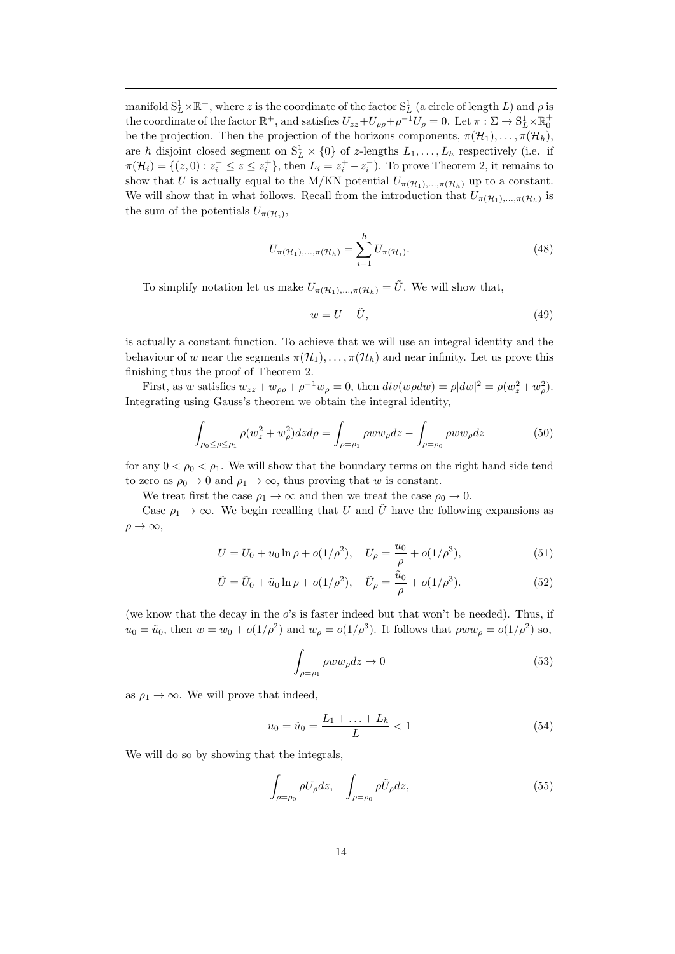manifold  $S^1_L \times \mathbb{R}^+$ , where z is the coordinate of the factor  $S^1_L$  (a circle of length L) and  $\rho$  is the coordinate of the factor  $\mathbb{R}^+$ , and satisfies  $U_{zz}+U_{\rho\rho}+\rho^{-1}U_{\rho}=0$ . Let  $\pi:\Sigma\to \mathrm{S}^1_L\times \mathbb{R}^+_0$ be the projection. Then the projection of the horizons components,  $\pi(\mathcal{H}_1), \ldots, \pi(\mathcal{H}_h)$ , are h disjoint closed segment on  $S_L^1 \times \{0\}$  of z-lengths  $L_1, \ldots, L_h$  respectively (i.e. if  $\pi(\mathcal{H}_i) = \{(z, 0) : z_i^- \leq z \leq z_i^+\}$ , then  $L_i = z_i^+ - z_i^-$ ). To prove Theorem 2, it remains to show that U is actually equal to the M/KN potential  $U_{\pi(\mathcal{H}_1),\dots,\pi(\mathcal{H}_h)}$  up to a constant. We will show that in what follows. Recall from the introduction that  $U_{\pi(\mathcal{H}_1),...,\pi(\mathcal{H}_h)}$  is the sum of the potentials  $U_{\pi(\mathcal{H}_i)},$ 

$$
U_{\pi(\mathcal{H}_1),...,\pi(\mathcal{H}_h)} = \sum_{i=1}^h U_{\pi(\mathcal{H}_i)}.
$$
 (48)

To simplify notation let us make  $U_{\pi(\mathcal{H}_1),...,\pi(\mathcal{H}_h)} = \tilde{U}$ . We will show that,

$$
w = U - \tilde{U},\tag{49}
$$

is actually a constant function. To achieve that we will use an integral identity and the behaviour of w near the segments  $\pi(\mathcal{H}_1), \ldots, \pi(\mathcal{H}_h)$  and near infinity. Let us prove this finishing thus the proof of Theorem 2.

First, as w satisfies  $w_{zz} + w_{\rho\rho} + \rho^{-1}w_{\rho} = 0$ , then  $div(w\rho dw) = \rho |dw|^2 = \rho(w_z^2 + w_\rho^2)$ . Integrating using Gauss's theorem we obtain the integral identity,

$$
\int_{\rho_0 \le \rho \le \rho_1} \rho(w_z^2 + w_\rho^2) dz d\rho = \int_{\rho = \rho_1} \rho w w_\rho dz - \int_{\rho = \rho_0} \rho w w_\rho dz \tag{50}
$$

for any  $0 < \rho_0 < \rho_1$ . We will show that the boundary terms on the right hand side tend to zero as  $\rho_0 \to 0$  and  $\rho_1 \to \infty$ , thus proving that w is constant.

We treat first the case  $\rho_1 \rightarrow \infty$  and then we treat the case  $\rho_0 \rightarrow 0$ .

Case  $\rho_1 \to \infty$ . We begin recalling that U and  $\tilde{U}$  have the following expansions as  $\rho \rightarrow \infty$ ,

$$
U = U_0 + u_0 \ln \rho + o(1/\rho^2), \quad U_\rho = \frac{u_0}{\rho} + o(1/\rho^3), \tag{51}
$$

$$
\tilde{U} = \tilde{U}_0 + \tilde{u}_0 \ln \rho + o(1/\rho^2), \quad \tilde{U}_\rho = \frac{\tilde{u}_0}{\rho} + o(1/\rho^3). \tag{52}
$$

(we know that the decay in the  $o$ 's is faster indeed but that won't be needed). Thus, if  $u_0 = \tilde{u}_0$ , then  $w = w_0 + o(1/\rho^2)$  and  $w_\rho = o(1/\rho^3)$ . It follows that  $\rho w w_\rho = o(1/\rho^2)$  so,

$$
\int_{\rho=\rho_1} \rho w w_{\rho} dz \to 0 \tag{53}
$$

as  $\rho_1 \rightarrow \infty$ . We will prove that indeed,

$$
u_0 = \tilde{u}_0 = \frac{L_1 + \ldots + L_h}{L} < 1 \tag{54}
$$

We will do so by showing that the integrals,

$$
\int_{\rho=\rho_0} \rho U_{\rho} dz, \quad \int_{\rho=\rho_0} \rho \tilde{U}_{\rho} dz,
$$
\n(55)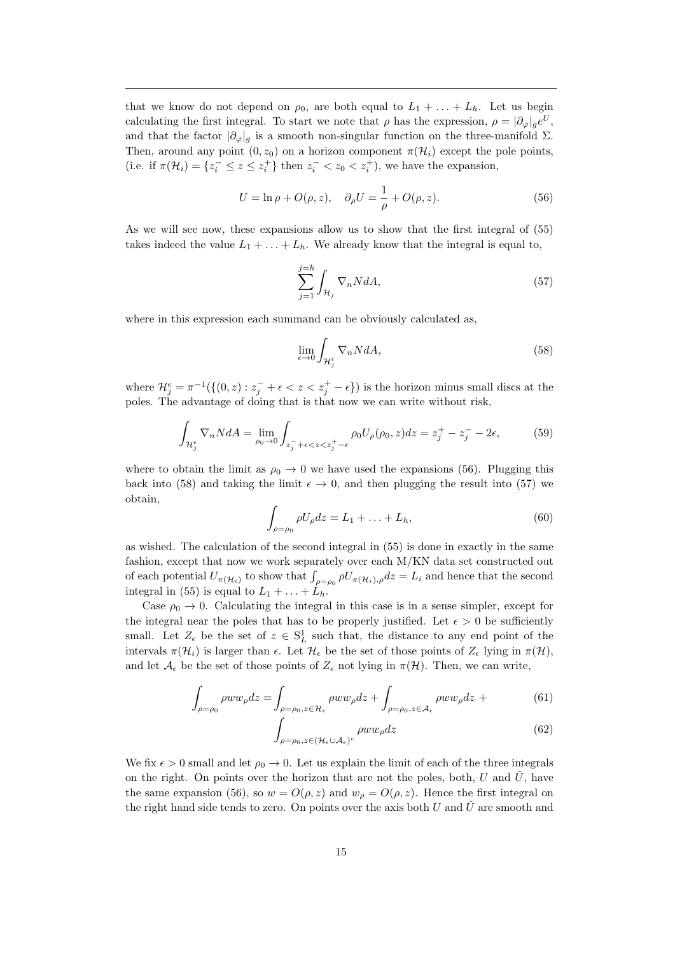that we know do not depend on  $\rho_0$ , are both equal to  $L_1 + \ldots + L_h$ . Let us begin calculating the first integral. To start we note that  $\rho$  has the expression,  $\rho = |\partial_{\varphi}|_g e^U$ , and that the factor  $|\partial_{\varphi}|_g$  is a smooth non-singular function on the three-manifold  $\Sigma$ . Then, around any point  $(0, z_0)$  on a horizon component  $\pi(\mathcal{H}_i)$  except the pole points, (i.e. if  $\pi(\mathcal{H}_i) = \{z_i^- \leq z \leq z_i^+\}$  then  $z_i^- < z_0 < z_i^+$ ), we have the expansion,

$$
U = \ln \rho + O(\rho, z), \quad \partial_{\rho} U = \frac{1}{\rho} + O(\rho, z). \tag{56}
$$

As we will see now, these expansions allow us to show that the first integral of (55) takes indeed the value  $L_1 + \ldots + L_h$ . We already know that the integral is equal to,

$$
\sum_{j=1}^{j=h} \int_{\mathcal{H}_j} \nabla_n N dA,\tag{57}
$$

where in this expression each summand can be obviously calculated as,

$$
\lim_{\epsilon \to 0} \int_{\mathcal{H}_j^{\epsilon}} \nabla_n N dA,\tag{58}
$$

where  $\mathcal{H}_{j}^{\epsilon} = \pi^{-1}(\{(0, z) : z_{j}^{-} + \epsilon < z < z_{j}^{+} - \epsilon\})$  is the horizon minus small discs at the poles. The advantage of doing that is that now we can write without risk,

$$
\int_{\mathcal{H}_j^{\epsilon}} \nabla_n N dA = \lim_{\rho_0 \to 0} \int_{z_j^- + \epsilon < z < z_j^+ - \epsilon} \rho_0 U_\rho(\rho_0, z) dz = z_j^+ - z_j^- - 2\epsilon,\tag{59}
$$

where to obtain the limit as  $\rho_0 \rightarrow 0$  we have used the expansions (56). Plugging this back into (58) and taking the limit  $\epsilon \to 0$ , and then plugging the result into (57) we obtain,

$$
\int_{\rho=\rho_0} \rho U_{\rho} dz = L_1 + \dots + L_h,
$$
\n(60)

as wished. The calculation of the second integral in (55) is done in exactly in the same fashion, except that now we work separately over each M/KN data set constructed out of each potential  $U_{\pi(\mathcal{H}_i)}$  to show that  $\int_{\rho=\rho_0} \rho U_{\pi(\mathcal{H}_i),\rho} dz = L_i$  and hence that the second integral in (55) is equal to  $L_1 + \ldots + L_h$ .

Case  $\rho_0 \rightarrow 0$ . Calculating the integral in this case is in a sense simpler, except for the integral near the poles that has to be properly justified. Let  $\epsilon > 0$  be sufficiently small. Let  $Z_{\epsilon}$  be the set of  $z \in S^1_L$  such that, the distance to any end point of the intervals  $\pi(\mathcal{H}_i)$  is larger than  $\epsilon$ . Let  $\mathcal{H}_\epsilon$  be the set of those points of  $Z_\epsilon$  lying in  $\pi(\mathcal{H})$ , and let  $\mathcal{A}_{\epsilon}$  be the set of those points of  $Z_{\epsilon}$  not lying in  $\pi(\mathcal{H})$ . Then, we can write,

$$
\int_{\rho=\rho_0} \rho w w_{\rho} dz = \int_{\rho=\rho_0, z \in \mathcal{H}_{\epsilon}} \rho w w_{\rho} dz + \int_{\rho=\rho_0, z \in \mathcal{A}_{\epsilon}} \rho w w_{\rho} dz + \tag{61}
$$

$$
\int_{\rho=\rho_0, z\in(\mathcal{H}_{\epsilon}\cup\mathcal{A}_{\epsilon})^c} \rho w w_{\rho} dz
$$
\n(62)

We fix  $\epsilon > 0$  small and let  $\rho_0 \to 0$ . Let us explain the limit of each of the three integrals on the right. On points over the horizon that are not the poles, both, U and  $\hat{U}$ , have the same expansion (56), so  $w = O(\rho, z)$  and  $w_{\rho} = O(\rho, z)$ . Hence the first integral on the right hand side tends to zero. On points over the axis both U and U are smooth and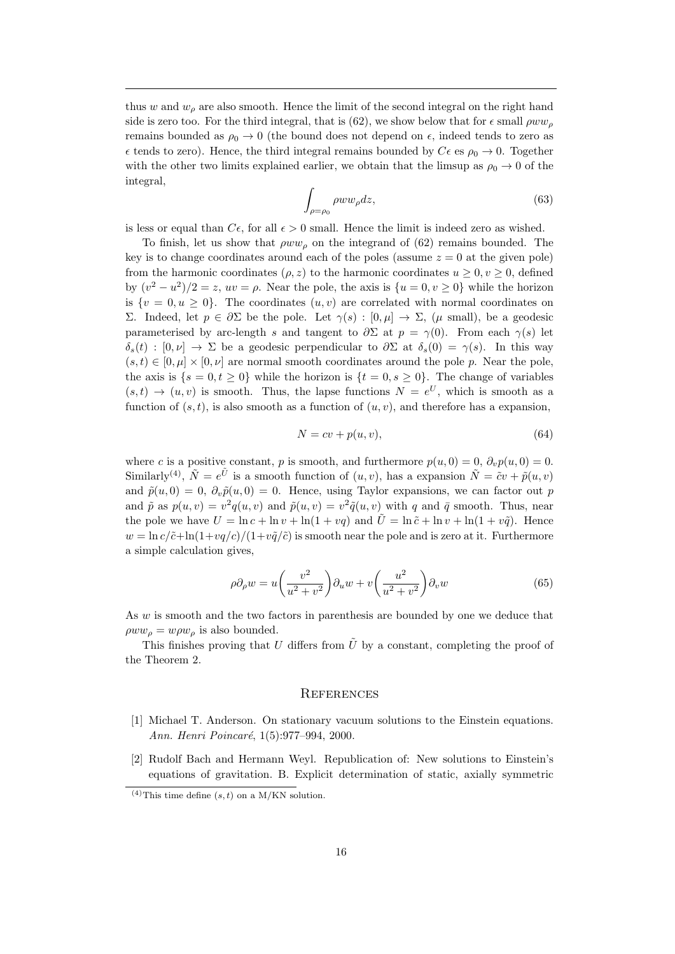thus w and  $w_{\rho}$  are also smooth. Hence the limit of the second integral on the right hand side is zero too. For the third integral, that is (62), we show below that for  $\epsilon$  small  $\rho w w_{\rho}$ remains bounded as  $\rho_0 \to 0$  (the bound does not depend on  $\epsilon$ , indeed tends to zero as  $\epsilon$  tends to zero). Hence, the third integral remains bounded by  $C\epsilon$  es  $\rho_0 \to 0$ . Together with the other two limits explained earlier, we obtain that the limsup as  $\rho_0 \rightarrow 0$  of the integral,

$$
\int_{\rho=\rho_0} \rho w w_{\rho} dz,\tag{63}
$$

is less or equal than  $C_{\epsilon}$ , for all  $\epsilon > 0$  small. Hence the limit is indeed zero as wished.

To finish, let us show that  $\rho w w_{\rho}$  on the integrand of (62) remains bounded. The key is to change coordinates around each of the poles (assume  $z = 0$  at the given pole) from the harmonic coordinates  $(\rho, z)$  to the harmonic coordinates  $u \geq 0, v \geq 0$ , defined by  $(v^2 - u^2)/2 = z$ ,  $uv = \rho$ . Near the pole, the axis is  $\{u = 0, v \ge 0\}$  while the horizon is  $\{v = 0, u \geq 0\}$ . The coordinates  $(u, v)$  are correlated with normal coordinates on Σ. Indeed, let  $p ∈ ∂Σ$  be the pole. Let  $γ(s) : [0, μ] → Σ$ , (μ small), be a geodesic parameterised by arc-length s and tangent to  $\partial \Sigma$  at  $p = \gamma(0)$ . From each  $\gamma(s)$  let  $\delta_s(t) : [0, \nu] \to \Sigma$  be a geodesic perpendicular to  $\partial \Sigma$  at  $\delta_s(0) = \gamma(s)$ . In this way  $(s, t) \in [0, \mu] \times [0, \nu]$  are normal smooth coordinates around the pole p. Near the pole, the axis is  $\{s = 0, t \ge 0\}$  while the horizon is  $\{t = 0, s \ge 0\}$ . The change of variables  $(s,t) \to (u,v)$  is smooth. Thus, the lapse functions  $N = e^U$ , which is smooth as a function of  $(s, t)$ , is also smooth as a function of  $(u, v)$ , and therefore has a expansion,

$$
N = cv + p(u, v),\tag{64}
$$

where c is a positive constant, p is smooth, and furthermore  $p(u, 0) = 0$ ,  $\partial_p p(u, 0) = 0$ . Similarly<sup>(4)</sup>,  $\tilde{N} = e^{\tilde{U}}$  is a smooth function of  $(u, v)$ , has a expansion  $\tilde{N} = \tilde{c}v + \tilde{p}(u, v)$ and  $\tilde{p}(u, 0) = 0$ ,  $\partial_v \tilde{p}(u, 0) = 0$ . Hence, using Taylor expansions, we can factor out p and  $\tilde{p}$  as  $p(u, v) = v^2 q(u, v)$  and  $\tilde{p}(u, v) = v^2 \tilde{q}(u, v)$  with q and  $\bar{q}$  smooth. Thus, near the pole we have  $U = \ln c + \ln v + \ln(1 + vq)$  and  $\tilde{U} = \ln \tilde{c} + \ln v + \ln(1 + v\tilde{q})$ . Hence  $w = \ln c/\tilde{c} + \ln(1+vq/c)/(1+v\tilde{q}/\tilde{c})$  is smooth near the pole and is zero at it. Furthermore a simple calculation gives,

$$
\rho \partial_{\rho} w = u \left( \frac{v^2}{u^2 + v^2} \right) \partial_u w + v \left( \frac{u^2}{u^2 + v^2} \right) \partial_v w \tag{65}
$$

As w is smooth and the two factors in parenthesis are bounded by one we deduce that  $\rho w w_o = w \rho w_o$  is also bounded.

This finishes proving that U differs from  $\tilde{U}$  by a constant, completing the proof of the Theorem 2.

### **REFERENCES**

- [1] Michael T. Anderson. On stationary vacuum solutions to the Einstein equations. Ann. Henri Poincaré, 1(5):977-994, 2000.
- [2] Rudolf Bach and Hermann Weyl. Republication of: New solutions to Einstein's equations of gravitation. B. Explicit determination of static, axially symmetric

<sup>&</sup>lt;sup>(4)</sup>This time define  $(s, t)$  on a M/KN solution.